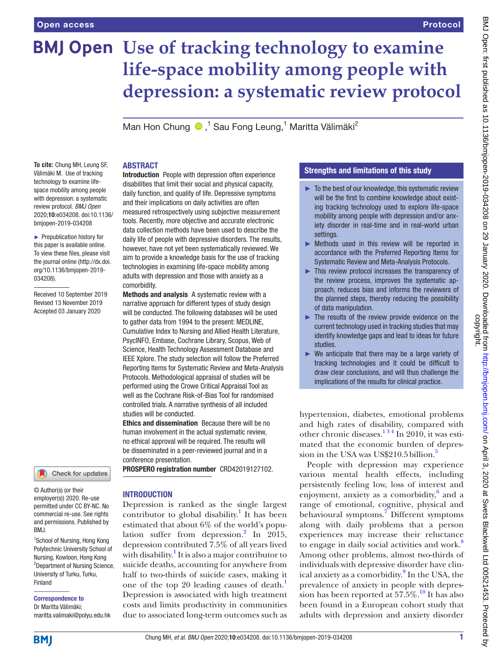# **BMJ Open Use of tracking technology to examine life-space mobility among people with depression: a systematic review protocol**

Man Hon Chung  $\bullet$ ,<sup>1</sup> Sau Fong Leung,<sup>1</sup> Maritta Välimäki<sup>2</sup>

#### ABSTRACT

**To cite:** Chung MH, Leung SF, Välimäki M. Use of tracking technology to examine lifespace mobility among people with depression: a systematic review protocol. *BMJ Open* 2020;10:e034208. doi:10.1136/ bmjopen-2019-034208

► Prepublication history for this paper is available online. To view these files, please visit the journal online (http://dx.doi. org/10.1136/bmjopen-2019- 034208).

Received 10 September 2019 Revised 13 November 2019 Accepted 03 January 2020

Check for updates

© Author(s) (or their employer(s)) 2020. Re-use permitted under CC BY-NC. No commercial re-use. See rights and permissions. Published by BMJ.

<sup>1</sup>School of Nursing, Hong Kong Polytechnic University School of Nursing, Kowloon, Hong Kong 2 Department of Nursing Science, University of Turku, Turku, Finland

Correspondence to

Dr Maritta Välimäki; maritta.valimaki@polyu.edu.hk Introduction People with depression often experience disabilities that limit their social and physical capacity, daily function, and quality of life. Depressive symptoms and their implications on daily activities are often measured retrospectively using subjective measurement tools. Recently, more objective and accurate electronic data collection methods have been used to describe the daily life of people with depressive disorders. The results, however, have not yet been systematically reviewed. We aim to provide a knowledge basis for the use of tracking technologies in examining life-space mobility among adults with depression and those with anxiety as a comorbidity.

Methods and analysis A systematic review with a narrative approach for different types of study design will be conducted. The following databases will be used to gather data from 1994 to the present: MEDLINE, Cumulative Index to Nursing and Allied Health Literature, PsycINFO, Embase, Cochrane Library, Scopus, Web of Science, Health Technology Assessment Database and IEEE Xplore. The study selection will follow the Preferred Reporting Items for Systematic Review and Meta-Analysis Protocols. Methodological appraisal of studies will be performed using the Crowe Critical Appraisal Tool as well as the Cochrane Risk-of-Bias Tool for randomised controlled trials. A narrative synthesis of all included studies will be conducted.

Ethics and dissemination Because there will be no human involvement in the actual systematic review, no ethical approval will be required. The results will be disseminated in a peer-reviewed journal and in a conference presentation.

PROSPERO registration number CRD42019127102.

# **INTRODUCTION**

Depression is ranked as the single largest contributor to global disability.<sup>[1](#page-5-0)</sup> It has been estimated that about 6% of the world's population suffer from depression.<sup>2</sup> In 2015, depression contributed 7.5% of all years lived with disability.<sup>1</sup> It is also a major contributor to suicide deaths, accounting for anywhere from half to two-thirds of suicide cases, making it one of the top 20 leading causes of death.<sup>[1](#page-5-0)</sup> Depression is associated with high treatment costs and limits productivity in communities due to associated long-term outcomes such as

# Strengths and limitations of this study

- $\blacktriangleright$  To the best of our knowledge, this systematic review will be the first to combine knowledge about existing tracking technology used to explore life-space mobility among people with depression and/or anxiety disorder in real-time and in real-world urban settings.
- ► Methods used in this review will be reported in accordance with the Preferred Reporting Items for Systematic Review and Meta-Analysis Protocols.
- ► This review protocol increases the transparency of the review process, improves the systematic approach, reduces bias and informs the reviewers of the planned steps, thereby reducing the possibility of data manipulation.
- ► The results of the review provide evidence on the current technology used in tracking studies that may identify knowledge gaps and lead to ideas for future studies.
- $\triangleright$  We anticipate that there may be a large variety of tracking technologies and it could be difficult to draw clear conclusions, and will thus challenge the implications of the results for clinical practice.

hypertension, diabetes, emotional problems and high rates of disability, compared with other chronic diseases.<sup>134</sup> In 2010, it was estimated that the economic burden of depres-sion in the USA was US\$210.[5](#page-5-2) billion.<sup>5</sup>

People with depression may experience various mental health effects, including persistently feeling low, loss of interest and enjoyment, anxiety as a comorbidity, $6$  and a range of emotional, cognitive, physical and behavioural symptoms.<sup>[7](#page-5-4)</sup> Different symptoms along with daily problems that a person experiences may increase their reluctance to engage in daily social activities and work.<sup>8</sup> Among other problems, almost two-thirds of individuals with depressive disorder have clin-ical anxiety as a comorbidity.<sup>[9](#page-5-6)</sup> In the USA, the prevalence of anxiety in people with depression has been reported at  $57.5\%$ .<sup>10</sup> It has also been found in a European cohort study that adults with depression and anxiety disorder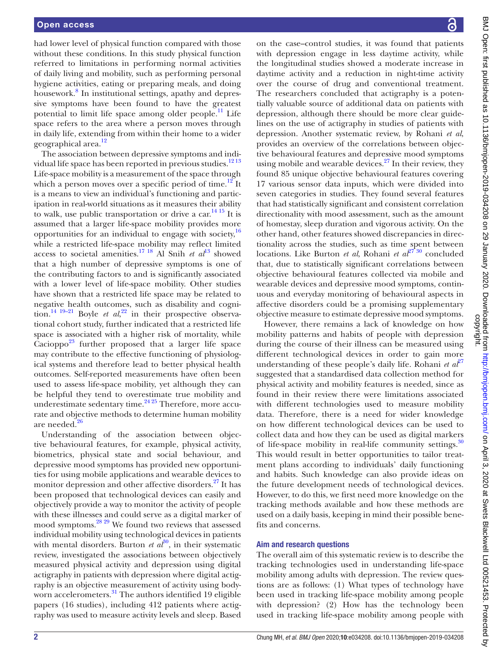had lower level of physical function compared with those without these conditions. In this study physical function referred to limitations in performing normal activities of daily living and mobility, such as performing personal hygiene activities, eating or preparing meals, and doing housework[.8](#page-5-5) In institutional settings, apathy and depressive symptoms have been found to have the greatest potential to limit life space among older people. $^{11}$  Life space refers to the area where a person moves through in daily life, extending from within their home to a wider geographical area.<sup>[12](#page-5-9)</sup>

The association between depressive symptoms and individual life space has been reported in previous studies.<sup>1213</sup> Life-space mobility is a measurement of the space through which a person moves over a specific period of time.<sup>12</sup> It is a means to view an individual's functioning and participation in real-world situations as it measures their ability to walk, use public transportation or drive a  $car$ <sup>14 15</sup> It is assumed that a larger life-space mobility provides more opportunities for an individual to engage with society,<sup>[16](#page-5-11)</sup> while a restricted life-space mobility may reflect limited access to societal amenities.[17 18](#page-5-12) Al Snih *et al*[13](#page-5-13) showed that a high number of depressive symptoms is one of the contributing factors to and is significantly associated with a lower level of life-space mobility. Other studies have shown that a restricted life space may be related to negative health outcomes, such as disability and cogni-tion.<sup>[14 19–21](#page-5-10)</sup> Boyle *et al*,<sup>22</sup> in their prospective observational cohort study, further indicated that a restricted life space is associated with a higher risk of mortality, while  $\text{Caciopo}^{23}$  further proposed that a larger life space may contribute to the effective functioning of physiological systems and therefore lead to better physical health outcomes. Self-reported measurements have often been used to assess life-space mobility, yet although they can be helpful they tend to overestimate true mobility and underestimate sedentary time. $24\frac{25}{1}$  Therefore, more accurate and objective methods to determine human mobility are needed.<sup>[26](#page-5-17)</sup>

Understanding of the association between objective behavioural features, for example, physical activity, biometrics, physical state and social behaviour, and depressive mood symptoms has provided new opportunities for using mobile applications and wearable devices to monitor depression and other affective disorders.<sup>[27](#page-5-18)</sup> It has been proposed that technological devices can easily and objectively provide a way to monitor the activity of people with these illnesses and could serve as a digital marker of mood symptoms[.28 29](#page-5-19) We found two reviews that assessed individual mobility using technological devices in patients with mental disorders. Burton *et*  $a^{\beta 0}$ , in their systematic review, investigated the associations between objectively measured physical activity and depression using digital actigraphy in patients with depression where digital actigraphy is an objective measurement of activity using body-worn accelerometers.<sup>[31](#page-5-21)</sup> The authors identified 19 eligible papers (16 studies), including 412 patients where actigraphy was used to measure activity levels and sleep. Based

on the case–control studies, it was found that patients with depression engage in less daytime activity, while the longitudinal studies showed a moderate increase in daytime activity and a reduction in night-time activity over the course of drug and conventional treatment. The researchers concluded that actigraphy is a potentially valuable source of additional data on patients with depression, although there should be more clear guidelines on the use of actigraphy in studies of patients with depression. Another systematic review, by Rohani *et al*, provides an overview of the correlations between objective behavioural features and depressive mood symptoms using mobile and wearable devices. $27$  In their review, they found 85 unique objective behavioural features covering 17 various sensor data inputs, which were divided into seven categories in studies. They found several features that had statistically significant and consistent correlation directionality with mood assessment, such as the amount of homestay, sleep duration and vigorous activity. On the other hand, other features showed discrepancies in directionality across the studies, such as time spent between locations. Like Burton *et al*, Rohani *et al*<sup>2730</sup> concluded that, due to statistically significant correlations between objective behavioural features collected via mobile and wearable devices and depressive mood symptoms, continuous and everyday monitoring of behavioural aspects in affective disorders could be a promising supplementary objective measure to estimate depressive mood symptoms.

However, there remains a lack of knowledge on how mobility patterns and habits of people with depression during the course of their illness can be measured using different technological devices in order to gain more understanding of these people's daily life. Rohani *et*  $a<sup>{p}</sup><sup>7</sup>$ suggested that a standardised data collection method for physical activity and mobility features is needed, since as found in their review there were limitations associated with different technologies used to measure mobility data. Therefore, there is a need for wider knowledge on how different technological devices can be used to collect data and how they can be used as digital markers of life-space mobility in real-life community settings. $30$ This would result in better opportunities to tailor treatment plans according to individuals' daily functioning and habits. Such knowledge can also provide ideas on the future development needs of technological devices. However, to do this, we first need more knowledge on the tracking methods available and how these methods are used on a daily basis, keeping in mind their possible benefits and concerns.

#### Aim and research questions

The overall aim of this systematic review is to describe the tracking technologies used in understanding life-space mobility among adults with depression. The review questions are as follows: (1) What types of technology have been used in tracking life-space mobility among people with depression? (2) How has the technology been used in tracking life-space mobility among people with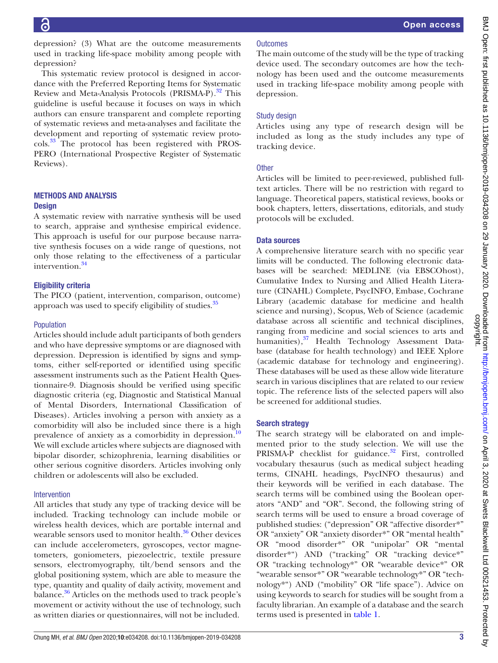depression? (3) What are the outcome measurements used in tracking life-space mobility among people with depression?

This systematic review protocol is designed in accordance with the Preferred Reporting Items for Systematic Review and Meta-Analysis Protocols (PRISMA-P).<sup>[32](#page-5-22)</sup> This guideline is useful because it focuses on ways in which authors can ensure transparent and complete reporting of systematic reviews and meta-analyses and facilitate the development and reporting of systematic review protocols.[33](#page-5-23) The protocol has been registered with PROS-PERO (International Prospective Register of Systematic Reviews).

#### Methods and analysis **Design**

A systematic review with narrative synthesis will be used to search, appraise and synthesise empirical evidence. This approach is useful for our purpose because narrative synthesis focuses on a wide range of questions, not only those relating to the effectiveness of a particular intervention.<sup>34</sup>

#### Eligibility criteria

The PICO (patient, intervention, comparison, outcome) approach was used to specify eligibility of studies.<sup>35</sup>

#### Population

Articles should include adult participants of both genders and who have depressive symptoms or are diagnosed with depression. Depression is identified by signs and symptoms, either self-reported or identified using specific assessment instruments such as the Patient Health Questionnaire-9. Diagnosis should be verified using specific diagnostic criteria (eg, Diagnostic and Statistical Manual of Mental Disorders, International Classification of Diseases). Articles involving a person with anxiety as a comorbidity will also be included since there is a high prevalence of anxiety as a comorbidity in depression.<sup>[10](#page-5-7)</sup> We will exclude articles where subjects are diagnosed with bipolar disorder, schizophrenia, learning disabilities or other serious cognitive disorders. Articles involving only children or adolescents will also be excluded.

#### Intervention

All articles that study any type of tracking device will be included. Tracking technology can include mobile or wireless health devices, which are portable internal and wearable sensors used to monitor health.<sup>36</sup> Other devices can include accelerometers, gyroscopes, vector magnetometers, goniometers, piezoelectric, textile pressure sensors, electromyography, tilt/bend sensors and the global positioning system, which are able to measure the type, quantity and quality of daily activity, movement and balance. $36$  Articles on the methods used to track people's movement or activity without the use of technology, such as written diaries or questionnaires, will not be included.

### **Outcomes**

The main outcome of the study will be the type of tracking device used. The secondary outcomes are how the technology has been used and the outcome measurements used in tracking life-space mobility among people with depression.

#### Study design

Articles using any type of research design will be included as long as the study includes any type of tracking device.

### **Other**

Articles will be limited to peer-reviewed, published fulltext articles. There will be no restriction with regard to language. Theoretical papers, statistical reviews, books or book chapters, letters, dissertations, editorials, and study protocols will be excluded.

#### Data sources

A comprehensive literature search with no specific year limits will be conducted. The following electronic databases will be searched: MEDLINE (via EBSCOhost), Cumulative Index to Nursing and Allied Health Literature (CINAHL) Complete, PsycINFO, Embase, Cochrane Library (academic database for medicine and health science and nursing), Scopus, Web of Science (academic database across all scientific and technical disciplines, ranging from medicine and social sciences to arts and humanities),<sup>37</sup> Health Technology Assessment Database (database for health technology) and IEEE Xplore (academic database for technology and engineering). These databases will be used as these allow wide literature search in various disciplines that are related to our review topic. The reference lists of the selected papers will also be screened for additional studies.

#### Search strategy

The search strategy will be elaborated on and implemented prior to the study selection. We will use the PRISMA-P checklist for guidance.<sup>32</sup> First, controlled vocabulary thesaurus (such as medical subject heading terms, CINAHL headings, PsycINFO thesaurus) and their keywords will be verified in each database. The search terms will be combined using the Boolean operators "AND" and "OR". Second, the following string of search terms will be used to ensure a broad coverage of published studies: ("depression" OR "affective disorder\*" OR "anxiety" OR "anxiety disorder\*" OR "mental health" OR "mood disorder\*" OR "unipolar" OR "mental disorder\*") AND ("tracking" OR "tracking device\*" OR "tracking technology\*" OR "wearable device\*" OR "wearable sensor\*" OR "wearable technology\*" OR "technology\*") AND ("mobility" OR "life space"). Advice on using keywords to search for studies will be sought from a faculty librarian. An example of a database and the search terms used is presented in [table](#page-3-0) 1.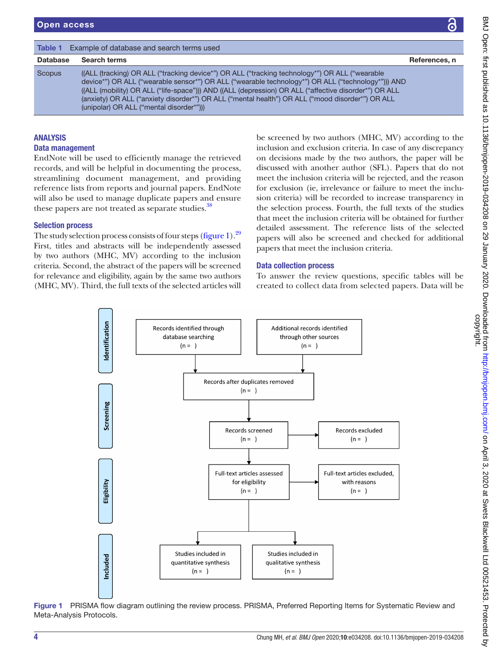<span id="page-3-0"></span>

| <b>Table 1</b> Example of database and search terms used |                                                                                                                                                                                                                                                                                                                                                                                                                                                               |               |
|----------------------------------------------------------|---------------------------------------------------------------------------------------------------------------------------------------------------------------------------------------------------------------------------------------------------------------------------------------------------------------------------------------------------------------------------------------------------------------------------------------------------------------|---------------|
| <b>Database</b>                                          | Search terms                                                                                                                                                                                                                                                                                                                                                                                                                                                  | References, n |
| Scopus                                                   | ((ALL (tracking) OR ALL ("tracking device*") OR ALL ("tracking technology*") OR ALL ("wearable<br>device*") OR ALL ("wearable sensor*") OR ALL ("wearable technology*") OR ALL ("technology*"))) AND<br>((ALL (mobility) OR ALL ("life-space"))) AND ((ALL (depression) OR ALL ("affective disorder*") OR ALL<br>(anxiety) OR ALL ("anxiety disorder*") OR ALL ("mental health") OR ALL ("mood disorder*") OR ALL<br>(unipolar) OR ALL ("mental disorder*"))) |               |

#### **ANALYSIS**

#### Data management

EndNote will be used to efficiently manage the retrieved records, and will be helpful in documenting the process, streamlining document management, and providing reference lists from reports and journal papers. EndNote will also be used to manage duplicate papers and ensure these papers are not treated as separate studies.<sup>38</sup>

#### Selection process

The study selection process consists of four steps [\(figure](#page-3-1) 1). $^{29}$  $^{29}$  $^{29}$ First, titles and abstracts will be independently assessed by two authors (MHC, MV) according to the inclusion criteria. Second, the abstract of the papers will be screened for relevance and eligibility, again by the same two authors (MHC, MV). Third, the full texts of the selected articles will

be screened by two authors (MHC, MV) according to the inclusion and exclusion criteria. In case of any discrepancy on decisions made by the two authors, the paper will be discussed with another author (SFL). Papers that do not meet the inclusion criteria will be rejected, and the reason for exclusion (ie, irrelevance or failure to meet the inclusion criteria) will be recorded to increase transparency in the selection process. Fourth, the full texts of the studies that meet the inclusion criteria will be obtained for further detailed assessment. The reference lists of the selected papers will also be screened and checked for additional papers that meet the inclusion criteria.

#### Data collection process

To answer the review questions, specific tables will be created to collect data from selected papers. Data will be



<span id="page-3-1"></span>Figure 1 PRISMA flow diagram outlining the review process. PRISMA, Preferred Reporting Items for Systematic Review and Meta-Analysis Protocols.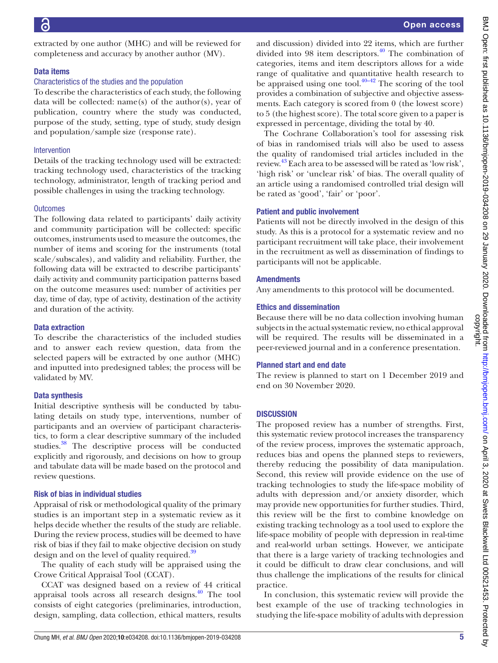extracted by one author (MHC) and will be reviewed for completeness and accuracy by another author (MV).

#### Data items

#### Characteristics of the studies and the population

To describe the characteristics of each study, the following data will be collected:  $name(s)$  of the author(s), year of publication, country where the study was conducted, purpose of the study, setting, type of study, study design and population/sample size (response rate).

#### Intervention

Details of the tracking technology used will be extracted: tracking technology used, characteristics of the tracking technology, administrator, length of tracking period and possible challenges in using the tracking technology.

### **Outcomes**

The following data related to participants' daily activity and community participation will be collected: specific outcomes, instruments used to measure the outcomes, the number of items and scoring for the instruments (total scale/subscales), and validity and reliability. Further, the following data will be extracted to describe participants' daily activity and community participation patterns based on the outcome measures used: number of activities per day, time of day, type of activity, destination of the activity and duration of the activity.

# Data extraction

To describe the characteristics of the included studies and to answer each review question, data from the selected papers will be extracted by one author (MHC) and inputted into predesigned tables; the process will be validated by MV.

# Data synthesis

Initial descriptive synthesis will be conducted by tabulating details on study type, interventions, number of participants and an overview of participant characteristics, to form a clear descriptive summary of the included studies.<sup>38</sup> The descriptive process will be conducted explicitly and rigorously, and decisions on how to group and tabulate data will be made based on the protocol and review questions.

# Risk of bias in individual studies

Appraisal of risk or methodological quality of the primary studies is an important step in a systematic review as it helps decide whether the results of the study are reliable. During the review process, studies will be deemed to have risk of bias if they fail to make objective decision on study design and on the level of quality required.<sup>[39](#page-5-30)</sup>

The quality of each study will be appraised using the Crowe Critical Appraisal Tool (CCAT).

CCAT was designed based on a review of 44 critical appraisal tools across all research designs. $40$  The tool consists of eight categories (preliminaries, introduction, design, sampling, data collection, ethical matters, results and discussion) divided into 22 items, which are further divided into 98 item descriptors.<sup>40</sup> The combination of categories, items and item descriptors allows for a wide range of qualitative and quantitative health research to be appraised using one tool. $40-42$  The scoring of the tool provides a combination of subjective and objective assessments. Each category is scored from 0 (the lowest score) to 5 (the highest score). The total score given to a paper is expressed in percentage, dividing the total by 40.

The Cochrane Collaboration's tool for assessing risk of bias in randomised trials will also be used to assess the quality of randomised trial articles included in the review.[43](#page-6-1) Each area to be assessed will be rated as 'low risk', 'high risk' or 'unclear risk' of bias. The overall quality of an article using a randomised controlled trial design will be rated as 'good', 'fair' or 'poor'.

### Patient and public involvement

Patients will not be directly involved in the design of this study. As this is a protocol for a systematic review and no participant recruitment will take place, their involvement in the recruitment as well as dissemination of findings to participants will not be applicable.

### Amendments

Any amendments to this protocol will be documented.

### Ethics and dissemination

Because there will be no data collection involving human subjects in the actual systematic review, no ethical approval will be required. The results will be disseminated in a peer-reviewed journal and in a conference presentation.

#### Planned start and end date

The review is planned to start on 1 December 2019 and end on 30 November 2020.

# **DISCUSSION**

The proposed review has a number of strengths. First, this systematic review protocol increases the transparency of the review process, improves the systematic approach, reduces bias and opens the planned steps to reviewers, thereby reducing the possibility of data manipulation. Second, this review will provide evidence on the use of tracking technologies to study the life-space mobility of adults with depression and/or anxiety disorder, which may provide new opportunities for further studies. Third, this review will be the first to combine knowledge on existing tracking technology as a tool used to explore the life-space mobility of people with depression in real-time and real-world urban settings. However, we anticipate that there is a large variety of tracking technologies and it could be difficult to draw clear conclusions, and will thus challenge the implications of the results for clinical practice.

In conclusion, this systematic review will provide the best example of the use of tracking technologies in studying the life-space mobility of adults with depression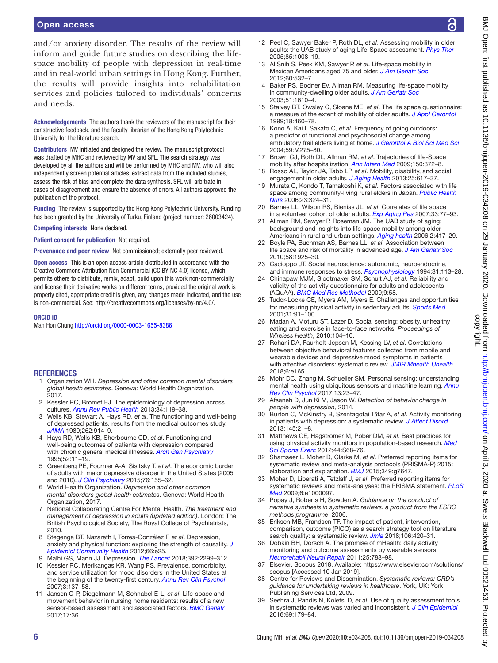and/or anxiety disorder. The results of the review will inform and guide future studies on describing the lifespace mobility of people with depression in real-time and in real-world urban settings in Hong Kong. Further, the results will provide insights into rehabilitation services and policies tailored to individuals' concerns and needs.

Acknowledgements The authors thank the reviewers of the manuscript for their constructive feedback, and the faculty librarian of the Hong Kong Polytechnic University for the literature search.

Contributors MV initiated and designed the review. The manuscript protocol was drafted by MHC and reviewed by MV and SFL. The search strategy was developed by all the authors and will be performed by MHC and MV, who will also independently screen potential articles, extract data from the included studies, assess the risk of bias and complete the data synthesis. SFL will arbitrate in cases of disagreement and ensure the absence of errors. All authors approved the publication of the protocol.

Funding The review is supported by the Hong Kong Polytechnic University. Funding has been granted by the University of Turku, Finland (project number: 26003424).

Competing interests None declared.

Patient consent for publication Not required.

Provenance and peer review Not commissioned; externally peer reviewed.

Open access This is an open access article distributed in accordance with the Creative Commons Attribution Non Commercial (CC BY-NC 4.0) license, which permits others to distribute, remix, adapt, build upon this work non-commercially, and license their derivative works on different terms, provided the original work is properly cited, appropriate credit is given, any changes made indicated, and the use is non-commercial. See: [http://creativecommons.org/licenses/by-nc/4.0/.](http://creativecommons.org/licenses/by-nc/4.0/)

#### ORCID iD

Man Hon Chung <http://orcid.org/0000-0003-1655-8386>

#### **REFERENCES**

- <span id="page-5-0"></span>1 Organization WH. *Depression and other common mental disorders global health estimates*. Geneva: World Health Organization, 2017.
- <span id="page-5-1"></span>2 Kessler RC, Bromet EJ. The epidemiology of depression across cultures. *[Annu Rev Public Health](http://dx.doi.org/10.1146/annurev-publhealth-031912-114409)* 2013;34:119–38.
- 3 Wells KB, Stewart A, Hays RD, *et al*. The functioning and well-being of depressed patients. results from the medical outcomes study. *[JAMA](http://www.ncbi.nlm.nih.gov/pubmed/2754791)* 1989;262:914–9.
- 4 Hays RD, Wells KB, Sherbourne CD, *et al*. Functioning and well-being outcomes of patients with depression compared with chronic general medical illnesses. *[Arch Gen Psychiatry](http://dx.doi.org/10.1001/archpsyc.1995.03950130011002)* 1995;52:11–19.
- <span id="page-5-2"></span>5 Greenberg PE, Fournier A-A, Sisitsky T, *et al*. The economic burden of adults with major depressive disorder in the United States (2005 and 2010). *[J Clin Psychiatry](http://dx.doi.org/10.4088/JCP.14m09298)* 2015;76:155–62.
- <span id="page-5-3"></span>6 World Health Organization. *Depression and other common mental disorders global health estimates*. Geneva: World Health Organization, 2017.
- <span id="page-5-4"></span>7 National Collaborating Centre For Mental Health. *The treatment and management of depression in adults (updated edition)*. London: The British Psychological Society, The Royal College of Psychiatrists, 2010.
- <span id="page-5-5"></span>8 Stegenga BT, Nazareth I, Torres-González F, *et al*. Depression, anxiety and physical function: exploring the strength of causality. *[J](http://dx.doi.org/10.1136/jech.2010.128371)  [Epidemiol Community Health](http://dx.doi.org/10.1136/jech.2010.128371)* 2012;66:e25.
- <span id="page-5-6"></span>9 Malhi GS, Mann JJ. Depression. *[The Lancet](http://dx.doi.org/10.1016/S0140-6736(18)31948-2)* 2018;392:2299–312.
- <span id="page-5-7"></span>10 Kessler RC, Merikangas KR, Wang PS. Prevalence, comorbidity, and service utilization for mood disorders in the United States at the beginning of the twenty-first century. *[Annu Rev Clin Psychol](http://dx.doi.org/10.1146/annurev.clinpsy.3.022806.091444)* 2007;3:137–58.
- <span id="page-5-8"></span>11 Jansen C-P, Diegelmann M, Schnabel E-L, *et al*. Life-space and movement behavior in nursing home residents: results of a new sensor-based assessment and associated factors. *[BMC Geriatr](http://dx.doi.org/10.1186/s12877-017-0430-7)* 2017;17:36.
- <span id="page-5-9"></span>12 Peel C, Sawyer Baker P, Roth DL, *et al*. Assessing mobility in older adults: the UAB study of aging Life-Space assessment. *[Phys Ther](http://dx.doi.org/10.1093/ptj/85.10.1008)* 2005;85:1008–19.
- <span id="page-5-13"></span>13 Al Snih S, Peek KM, Sawyer P, *et al*. Life-space mobility in Mexican Americans aged 75 and older. *[J Am Geriatr Soc](http://dx.doi.org/10.1111/j.1532-5415.2011.03822.x)* 2012;60:532–7.
- <span id="page-5-10"></span>14 Baker PS, Bodner EV, Allman RM. Measuring life-space mobility in community-dwelling older adults. *[J Am Geriatr Soc](http://dx.doi.org/10.1046/j.1532-5415.2003.51512.x)* 2003;51:1610–4.
- 15 Stalvey BT, Owsley C, Sloane ME, *et al*. The life space questionnaire: a measure of the extent of mobility of older adults. *[J Appl Gerontol](http://dx.doi.org/10.1177/073346489901800404)* 1999;18:460–78.
- <span id="page-5-11"></span>16 Kono A, Kai I, Sakato C, *et al*. Frequency of going outdoors: a predictor of functional and psychosocial change among ambulatory frail elders living at home. *[J Gerontol A Biol Sci Med Sci](http://dx.doi.org/10.1093/gerona/59.3.M275)* 2004;59:M275–80.
- <span id="page-5-12"></span>17 Brown CJ, Roth DL, Allman RM, *et al*. Trajectories of life-Space mobility after hospitalization. *[Ann Intern Med](http://dx.doi.org/10.7326/0003-4819-150-6-200903170-00005)* 2009;150:372–8.
- 18 Rosso AL, Taylor JA, Tabb LP, *et al*. Mobility, disability, and social engagement in older adults. *[J Aging Health](http://dx.doi.org/10.1177/0898264313482489)* 2013;25:617–37.
- 19 Murata C, Kondo T, Tamakoshi K, *et al*. Factors associated with life space among community-living rural elders in Japan. *[Public Health](http://dx.doi.org/10.1111/j.1525-1446.2006.00568.x)  [Nurs](http://dx.doi.org/10.1111/j.1525-1446.2006.00568.x)* 2006;23:324–31.
- 20 Barnes LL, Wilson RS, Bienias JL, *et al*. Correlates of life space in a volunteer cohort of older adults. *[Exp Aging Res](http://dx.doi.org/10.1080/03610730601006420)* 2007;33:77–93.
- 21 Allman RM, Sawyer P, Roseman JM. The UAB study of aging: background and insights into life-space mobility among older Americans in rural and urban settings. *[Aging health](http://dx.doi.org/10.2217/1745509X.2.3.417)* 2006;2:417–29.
- <span id="page-5-14"></span>22 Boyle PA, Buchman AS, Barnes LL, *et al*. Association between life space and risk of mortality in advanced age. *[J Am Geriatr Soc](http://dx.doi.org/10.1111/j.1532-5415.2010.03058.x)* 2010;58:1925–30.
- <span id="page-5-15"></span>23 Cacioppo JT. Social neuroscience: autonomic, neuroendocrine, and immune responses to stress. *[Psychophysiology](http://dx.doi.org/10.1111/j.1469-8986.1994.tb01032.x)* 1994;31:113–28.
- <span id="page-5-16"></span>24 Chinapaw MJM, Slootmaker SM, Schuit AJ, *et al*. Reliability and validity of the activity questionnaire for adults and adolescents (AQuAA). *[BMC Med Res Methodol](http://dx.doi.org/10.1186/1471-2288-9-58)* 2009;9:58.
- 25 Tudor-Locke CE, Myers AM, Myers E. Challenges and opportunities for measuring physical activity in sedentary adults. *[Sports Med](http://dx.doi.org/10.2165/00007256-200131020-00002)* 2001;31:91–100.
- <span id="page-5-17"></span>26 Madan A, Moturu ST, Lazer D. Social sensing: obesity, unhealthy eating and exercise in face-to-face networks. *Proceedings of Wireless Health*, 2010:104–10.
- <span id="page-5-18"></span>27 Rohani DA, Faurholt-Jepsen M, Kessing LV, *et al*. Correlations between objective behavioral features collected from mobile and wearable devices and depressive mood symptoms in patients with affective disorders: systematic review. *[JMIR Mhealth Uhealth](http://dx.doi.org/10.2196/mhealth.9691)* 2018;6:e165.
- <span id="page-5-19"></span>28 Mohr DC, Zhang M, Schueller SM. Personal sensing: understanding mental health using ubiquitous sensors and machine learning. *[Annu](http://dx.doi.org/10.1146/annurev-clinpsy-032816-044949)  [Rev Clin Psychol](http://dx.doi.org/10.1146/annurev-clinpsy-032816-044949)* 2017;13:23–47.
- <span id="page-5-29"></span>29 Afsaneh D, Jun Ki M, Jason W. *Detection of behavior change in people with depression*, 2014.
- <span id="page-5-20"></span>30 Burton C, McKinstry B, Szentagotai Tătar A, *et al*. Activity monitoring in patients with depression: a systematic review. *[J Affect Disord](http://dx.doi.org/10.1016/j.jad.2012.07.001)* 2013;145:21–8.
- <span id="page-5-21"></span>31 Matthews CE, Hagströmer M, Pober DM, *et al*. Best practices for using physical activity monitors in population-based research. *[Med](http://dx.doi.org/10.1249/MSS.0b013e3182399e5b)  [Sci Sports Exerc](http://dx.doi.org/10.1249/MSS.0b013e3182399e5b)* 2012;44:S68–76.
- <span id="page-5-22"></span>32 Shamseer L, Moher D, Clarke M, *et al*. Preferred reporting items for systematic review and meta-analysis protocols (PRISMA-P) 2015: elaboration and explanation. *[BMJ](http://dx.doi.org/10.1136/bmj.g7647)* 2015;349:g7647.
- <span id="page-5-23"></span>33 Moher D, Liberati A, Tetzlaff J, *et al*. Preferred reporting items for systematic reviews and meta-analyses: the PRISMA statement. *[PLoS](http://dx.doi.org/10.1371/journal.pmed.1000097)  [Med](http://dx.doi.org/10.1371/journal.pmed.1000097)* 2009;6:e1000097.
- <span id="page-5-24"></span>34 Popay J, Roberts H, Sowden A. *Guidance on the conduct of narrative synthesis in systematic reviews: a product from the ESRC methods programme*, 2006.
- <span id="page-5-25"></span>35 Eriksen MB, Frandsen TF. The impact of patient, intervention, comparison, outcome (PICO) as a search strategy tool on literature search quality: a systematic review. *[Jmla](http://dx.doi.org/10.5195/JMLA.2018.345)* 2018;106:420–31.
- <span id="page-5-26"></span>36 Dobkin BH, Dorsch A. The promise of mHealth: daily activity monitoring and outcome assessments by wearable sensors. *[Neurorehabil Neural Repair](http://dx.doi.org/10.1177/1545968311425908)* 2011;25:788–98.
- <span id="page-5-27"></span>37 Elsevier. Scopus 2018. Available: [https://www.elsevier.com/solutions/](https://www.elsevier.com/solutions/scopus) [scopus](https://www.elsevier.com/solutions/scopus) [Accessed 10 Jan 2019].
- <span id="page-5-28"></span>38 Centre for Reviews and Dissemination. *Systematic reviews: CRD's guidance for undertaking reviews in healthcare*. York, UK: York Publishing Services Ltd, 2009.
- <span id="page-5-30"></span>39 Seehra J, Pandis N, Koletsi D, *et al*. Use of quality assessment tools in systematic reviews was varied and inconsistent. *[J Clin Epidemiol](http://dx.doi.org/10.1016/j.jclinepi.2015.06.023)* 2016;69:179–84.